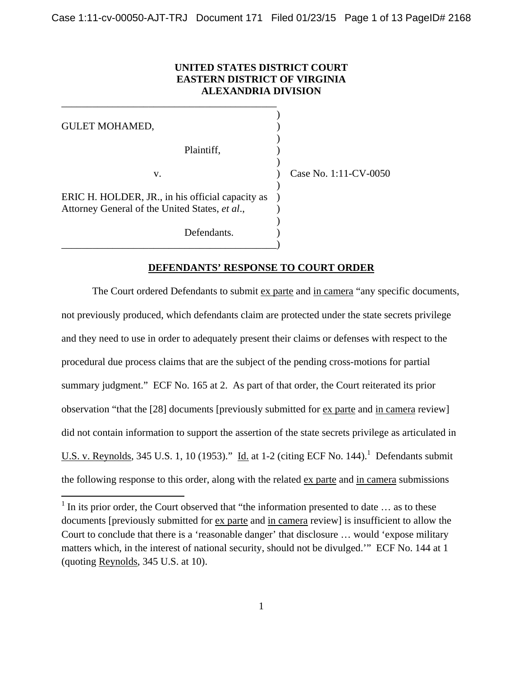## **UNITED STATES DISTRICT COURT EASTERN DISTRICT OF VIRGINIA ALEXANDRIA DIVISION**

 $)$ GULET MOHAMED,  $)$  Plaintiff, ) ) v. ) Case No. 1:11-CV-0050  $)$ ERIC H. HOLDER, JR., in his official capacity as ) Attorney General of the United States, *et al*., )  $)$ Defendants. \_\_\_\_\_\_\_\_\_\_\_\_\_\_\_\_\_\_\_\_\_\_\_\_\_\_\_\_\_\_\_\_\_\_\_\_\_\_\_\_\_\_)

\_\_\_\_\_\_\_\_\_\_\_\_\_\_\_\_\_\_\_\_\_\_\_\_\_\_\_\_\_\_\_\_\_\_\_\_\_\_\_\_\_\_

 $\overline{a}$ 

## **DEFENDANTS' RESPONSE TO COURT ORDER**

 The Court ordered Defendants to submit ex parte and in camera "any specific documents, not previously produced, which defendants claim are protected under the state secrets privilege and they need to use in order to adequately present their claims or defenses with respect to the procedural due process claims that are the subject of the pending cross-motions for partial summary judgment." ECF No. 165 at 2. As part of that order, the Court reiterated its prior observation "that the [28] documents [previously submitted for ex parte and in camera review] did not contain information to support the assertion of the state secrets privilege as articulated in U.S. v. Reynolds, 345 U.S. 1, 10 (1953)." Id. at 1-2 (citing ECF No. 144).<sup>1</sup> Defendants submit the following response to this order, along with the related ex parte and in camera submissions

 $1$  In its prior order, the Court observed that "the information presented to date  $\dots$  as to these documents [previously submitted for ex parte and in camera review] is insufficient to allow the Court to conclude that there is a 'reasonable danger' that disclosure … would 'expose military matters which, in the interest of national security, should not be divulged.'" ECF No. 144 at 1 (quoting Reynolds, 345 U.S. at 10).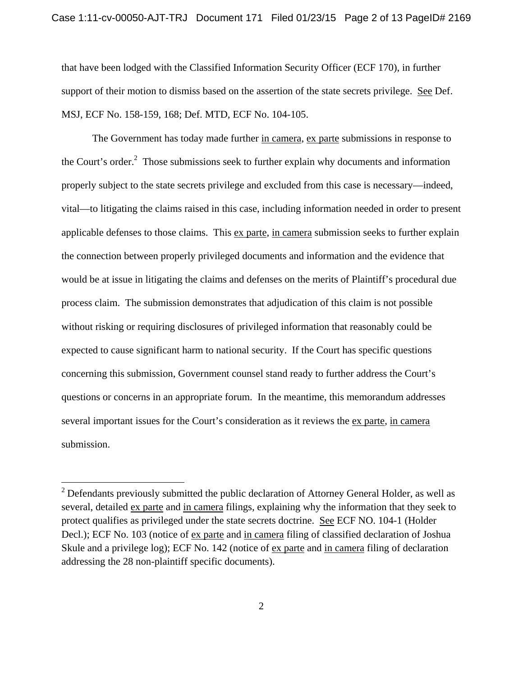that have been lodged with the Classified Information Security Officer (ECF 170), in further support of their motion to dismiss based on the assertion of the state secrets privilege. See Def. MSJ, ECF No. 158-159, 168; Def. MTD, ECF No. 104-105.

 The Government has today made further in camera, ex parte submissions in response to the Court's order. $2$  Those submissions seek to further explain why documents and information properly subject to the state secrets privilege and excluded from this case is necessary—indeed, vital—to litigating the claims raised in this case, including information needed in order to present applicable defenses to those claims. This ex parte, in camera submission seeks to further explain the connection between properly privileged documents and information and the evidence that would be at issue in litigating the claims and defenses on the merits of Plaintiff's procedural due process claim. The submission demonstrates that adjudication of this claim is not possible without risking or requiring disclosures of privileged information that reasonably could be expected to cause significant harm to national security. If the Court has specific questions concerning this submission, Government counsel stand ready to further address the Court's questions or concerns in an appropriate forum. In the meantime, this memorandum addresses several important issues for the Court's consideration as it reviews the ex parte, in camera submission.

 $\overline{a}$ 

 $2^{2}$  Defendants previously submitted the public declaration of Attorney General Holder, as well as several, detailed ex parte and in camera filings, explaining why the information that they seek to protect qualifies as privileged under the state secrets doctrine. See ECF NO. 104-1 (Holder Decl.); ECF No. 103 (notice of ex parte and in camera filing of classified declaration of Joshua Skule and a privilege log); ECF No. 142 (notice of <u>ex parte</u> and in camera filing of declaration addressing the 28 non-plaintiff specific documents).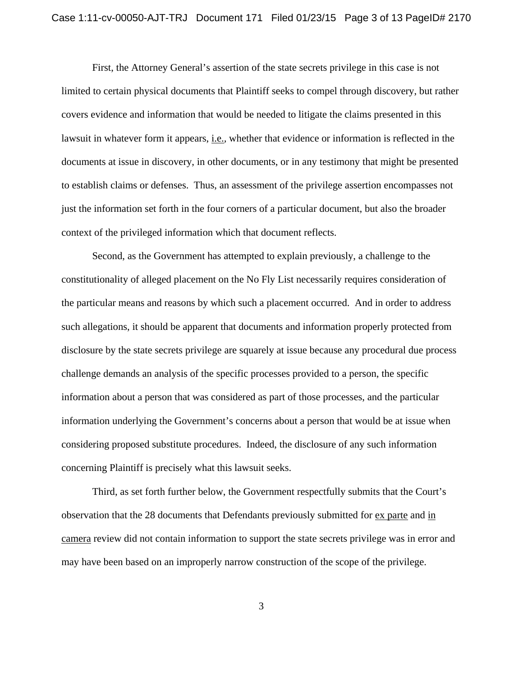First, the Attorney General's assertion of the state secrets privilege in this case is not limited to certain physical documents that Plaintiff seeks to compel through discovery, but rather covers evidence and information that would be needed to litigate the claims presented in this lawsuit in whatever form it appears, i.e.*,* whether that evidence or information is reflected in the documents at issue in discovery, in other documents, or in any testimony that might be presented to establish claims or defenses. Thus, an assessment of the privilege assertion encompasses not just the information set forth in the four corners of a particular document, but also the broader context of the privileged information which that document reflects.

Second, as the Government has attempted to explain previously, a challenge to the constitutionality of alleged placement on the No Fly List necessarily requires consideration of the particular means and reasons by which such a placement occurred. And in order to address such allegations, it should be apparent that documents and information properly protected from disclosure by the state secrets privilege are squarely at issue because any procedural due process challenge demands an analysis of the specific processes provided to a person, the specific information about a person that was considered as part of those processes, and the particular information underlying the Government's concerns about a person that would be at issue when considering proposed substitute procedures. Indeed, the disclosure of any such information concerning Plaintiff is precisely what this lawsuit seeks.

Third, as set forth further below, the Government respectfully submits that the Court's observation that the 28 documents that Defendants previously submitted for ex parte and in camera review did not contain information to support the state secrets privilege was in error and may have been based on an improperly narrow construction of the scope of the privilege.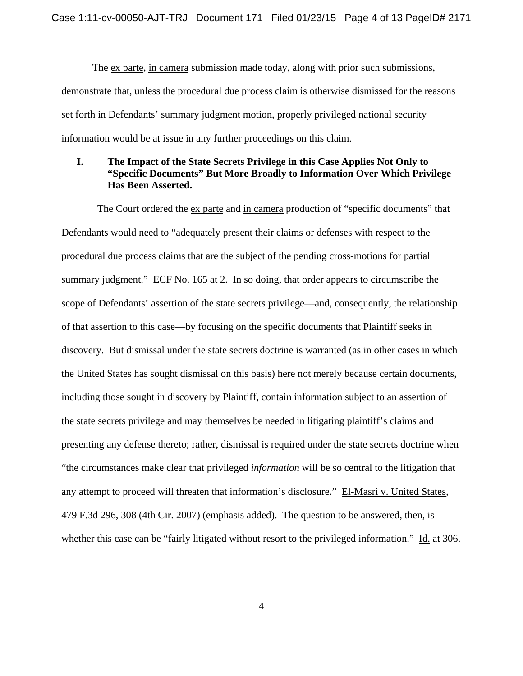The ex parte, in camera submission made today, along with prior such submissions, demonstrate that, unless the procedural due process claim is otherwise dismissed for the reasons set forth in Defendants' summary judgment motion, properly privileged national security information would be at issue in any further proceedings on this claim.

# **I. The Impact of the State Secrets Privilege in this Case Applies Not Only to "Specific Documents" But More Broadly to Information Over Which Privilege Has Been Asserted.**

 The Court ordered the ex parte and in camera production of "specific documents" that Defendants would need to "adequately present their claims or defenses with respect to the procedural due process claims that are the subject of the pending cross-motions for partial summary judgment." ECF No. 165 at 2. In so doing, that order appears to circumscribe the scope of Defendants' assertion of the state secrets privilege—and, consequently, the relationship of that assertion to this case—by focusing on the specific documents that Plaintiff seeks in discovery. But dismissal under the state secrets doctrine is warranted (as in other cases in which the United States has sought dismissal on this basis) here not merely because certain documents, including those sought in discovery by Plaintiff, contain information subject to an assertion of the state secrets privilege and may themselves be needed in litigating plaintiff's claims and presenting any defense thereto; rather, dismissal is required under the state secrets doctrine when "the circumstances make clear that privileged *information* will be so central to the litigation that any attempt to proceed will threaten that information's disclosure." El-Masri v. United States*,*  479 F.3d 296, 308 (4th Cir. 2007) (emphasis added). The question to be answered, then, is whether this case can be "fairly litigated without resort to the privileged information." Id. at 306.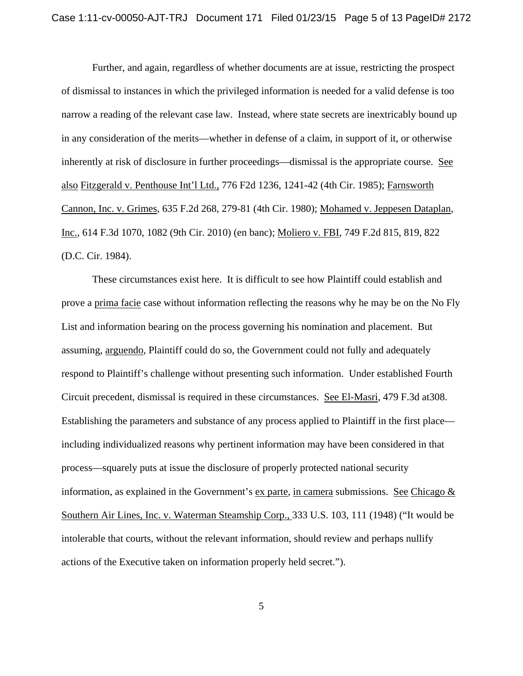Further, and again, regardless of whether documents are at issue, restricting the prospect of dismissal to instances in which the privileged information is needed for a valid defense is too narrow a reading of the relevant case law. Instead, where state secrets are inextricably bound up in any consideration of the merits—whether in defense of a claim, in support of it, or otherwise inherently at risk of disclosure in further proceedings—dismissal is the appropriate course. See also Fitzgerald v. Penthouse Int'l Ltd., 776 F2d 1236, 1241-42 (4th Cir. 1985); Farnsworth Cannon, Inc. v. Grimes, 635 F.2d 268, 279-81 (4th Cir. 1980); Mohamed v. Jeppesen Dataplan*,* Inc.*,* 614 F.3d 1070, 1082 (9th Cir. 2010) (en banc); Moliero v. FBI*,* 749 F.2d 815, 819, 822 (D.C. Cir. 1984).

These circumstances exist here. It is difficult to see how Plaintiff could establish and prove a prima facie case without information reflecting the reasons why he may be on the No Fly List and information bearing on the process governing his nomination and placement. But assuming, arguendo*,* Plaintiff could do so, the Government could not fully and adequately respond to Plaintiff's challenge without presenting such information. Under established Fourth Circuit precedent, dismissal is required in these circumstances. See El-Masri, 479 F.3d at308. Establishing the parameters and substance of any process applied to Plaintiff in the first place including individualized reasons why pertinent information may have been considered in that process—squarely puts at issue the disclosure of properly protected national security information, as explained in the Government's  $ex$  parte, in camera submissions. See Chicago  $&\&$ Southern Air Lines, Inc. v. Waterman Steamship Corp., 333 U.S. 103, 111 (1948) ("It would be intolerable that courts, without the relevant information, should review and perhaps nullify actions of the Executive taken on information properly held secret.").

5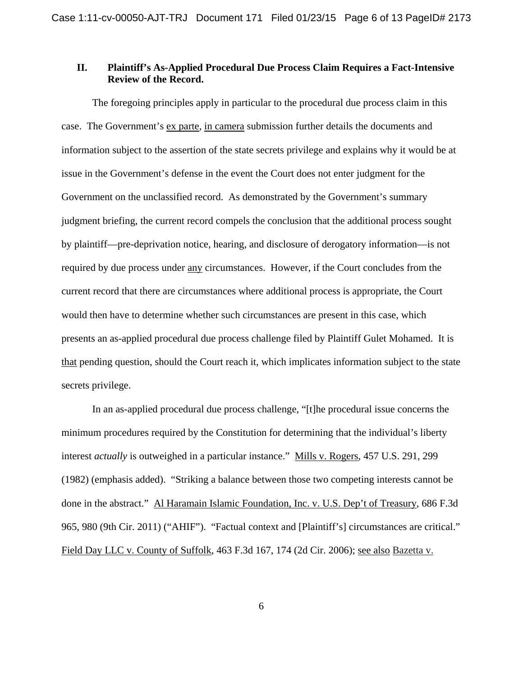## **II. Plaintiff's As-Applied Procedural Due Process Claim Requires a Fact-Intensive Review of the Record.**

 The foregoing principles apply in particular to the procedural due process claim in this case. The Government's ex parte, in camera submission further details the documents and information subject to the assertion of the state secrets privilege and explains why it would be at issue in the Government's defense in the event the Court does not enter judgment for the Government on the unclassified record. As demonstrated by the Government's summary judgment briefing, the current record compels the conclusion that the additional process sought by plaintiff—pre-deprivation notice, hearing, and disclosure of derogatory information—is not required by due process under any circumstances. However, if the Court concludes from the current record that there are circumstances where additional process is appropriate, the Court would then have to determine whether such circumstances are present in this case, which presents an as-applied procedural due process challenge filed by Plaintiff Gulet Mohamed. It is that pending question, should the Court reach it, which implicates information subject to the state secrets privilege.

 In an as-applied procedural due process challenge, "[t]he procedural issue concerns the minimum procedures required by the Constitution for determining that the individual's liberty interest *actually* is outweighed in a particular instance." Mills v. Rogers, 457 U.S. 291, 299 (1982) (emphasis added). "Striking a balance between those two competing interests cannot be done in the abstract." Al Haramain Islamic Foundation, Inc. v. U.S. Dep't of Treasury, 686 F.3d 965, 980 (9th Cir. 2011) ("AHIF"). "Factual context and [Plaintiff's] circumstances are critical." Field Day LLC v. County of Suffolk, 463 F.3d 167, 174 (2d Cir. 2006); see also Bazetta v.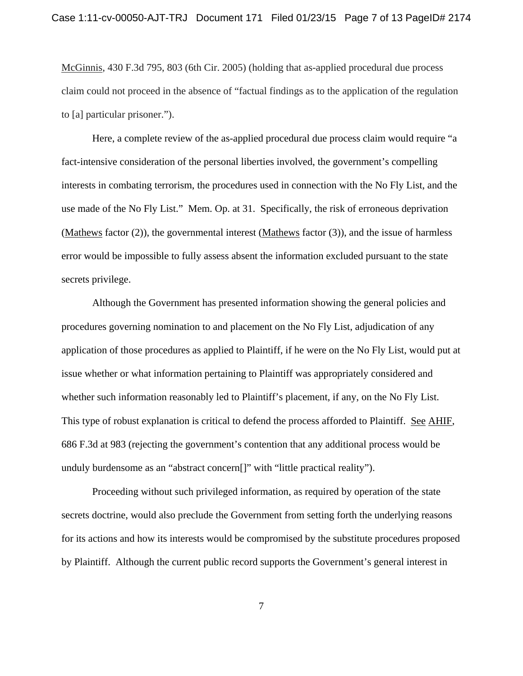McGinnis, 430 F.3d 795, 803 (6th Cir. 2005) (holding that as-applied procedural due process claim could not proceed in the absence of "factual findings as to the application of the regulation to [a] particular prisoner.").

 Here, a complete review of the as-applied procedural due process claim would require "a fact-intensive consideration of the personal liberties involved, the government's compelling interests in combating terrorism, the procedures used in connection with the No Fly List, and the use made of the No Fly List." Mem. Op. at 31. Specifically, the risk of erroneous deprivation (Mathews factor (2)), the governmental interest (Mathews factor (3)), and the issue of harmless error would be impossible to fully assess absent the information excluded pursuant to the state secrets privilege.

 Although the Government has presented information showing the general policies and procedures governing nomination to and placement on the No Fly List, adjudication of any application of those procedures as applied to Plaintiff, if he were on the No Fly List, would put at issue whether or what information pertaining to Plaintiff was appropriately considered and whether such information reasonably led to Plaintiff's placement, if any, on the No Fly List. This type of robust explanation is critical to defend the process afforded to Plaintiff. See AHIF, 686 F.3d at 983 (rejecting the government's contention that any additional process would be unduly burdensome as an "abstract concern[]" with "little practical reality").

 Proceeding without such privileged information, as required by operation of the state secrets doctrine, would also preclude the Government from setting forth the underlying reasons for its actions and how its interests would be compromised by the substitute procedures proposed by Plaintiff. Although the current public record supports the Government's general interest in

7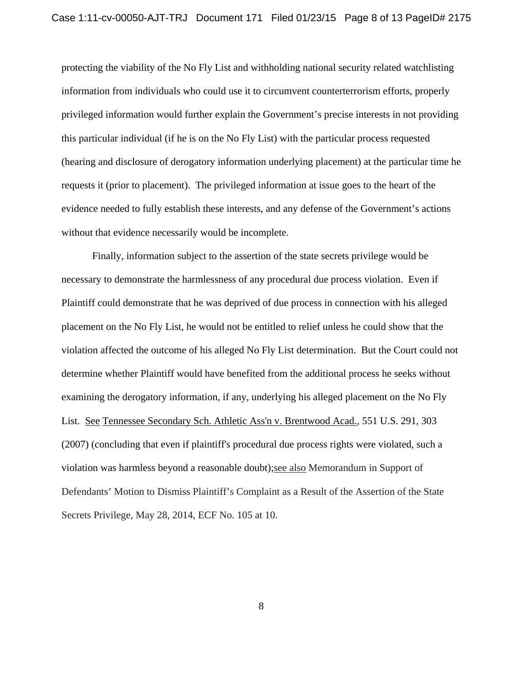protecting the viability of the No Fly List and withholding national security related watchlisting information from individuals who could use it to circumvent counterterrorism efforts, properly privileged information would further explain the Government's precise interests in not providing this particular individual (if he is on the No Fly List) with the particular process requested (hearing and disclosure of derogatory information underlying placement) at the particular time he requests it (prior to placement). The privileged information at issue goes to the heart of the evidence needed to fully establish these interests, and any defense of the Government's actions without that evidence necessarily would be incomplete.

 Finally, information subject to the assertion of the state secrets privilege would be necessary to demonstrate the harmlessness of any procedural due process violation. Even if Plaintiff could demonstrate that he was deprived of due process in connection with his alleged placement on the No Fly List, he would not be entitled to relief unless he could show that the violation affected the outcome of his alleged No Fly List determination. But the Court could not determine whether Plaintiff would have benefited from the additional process he seeks without examining the derogatory information, if any, underlying his alleged placement on the No Fly List. See Tennessee Secondary Sch. Athletic Ass'n v. Brentwood Acad.*,* 551 U.S. 291, 303 (2007) (concluding that even if plaintiff's procedural due process rights were violated, such a violation was harmless beyond a reasonable doubt);see also Memorandum in Support of Defendants' Motion to Dismiss Plaintiff's Complaint as a Result of the Assertion of the State Secrets Privilege, May 28, 2014, ECF No. 105 at 10.

8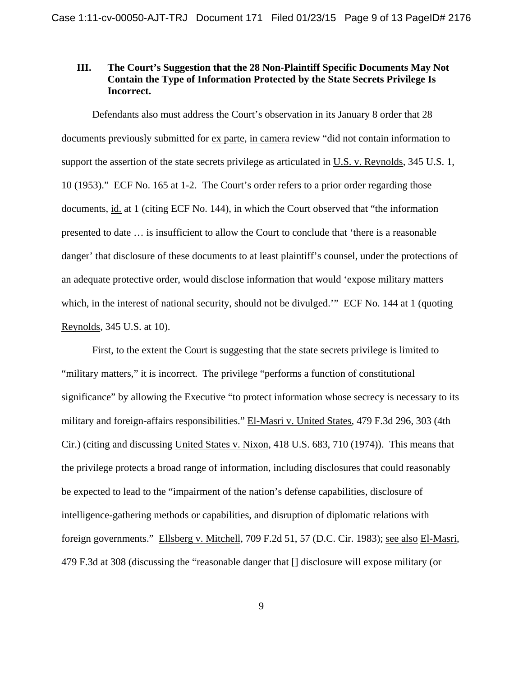# **III. The Court's Suggestion that the 28 Non-Plaintiff Specific Documents May Not Contain the Type of Information Protected by the State Secrets Privilege Is Incorrect.**

 Defendants also must address the Court's observation in its January 8 order that 28 documents previously submitted for ex parte, in camera review "did not contain information to support the assertion of the state secrets privilege as articulated in U.S. v. Reynolds, 345 U.S. 1, 10 (1953)." ECF No. 165 at 1-2. The Court's order refers to a prior order regarding those documents, id. at 1 (citing ECF No. 144), in which the Court observed that "the information presented to date … is insufficient to allow the Court to conclude that 'there is a reasonable danger' that disclosure of these documents to at least plaintiff's counsel, under the protections of an adequate protective order, would disclose information that would 'expose military matters which, in the interest of national security, should not be divulged." ECF No. 144 at 1 (quoting Reynolds, 345 U.S. at 10).

 First, to the extent the Court is suggesting that the state secrets privilege is limited to "military matters," it is incorrect. The privilege "performs a function of constitutional significance" by allowing the Executive "to protect information whose secrecy is necessary to its military and foreign-affairs responsibilities." El-Masri v. United States, 479 F.3d 296, 303 (4th Cir.) (citing and discussing United States v. Nixon, 418 U.S. 683, 710 (1974)). This means that the privilege protects a broad range of information, including disclosures that could reasonably be expected to lead to the "impairment of the nation's defense capabilities, disclosure of intelligence-gathering methods or capabilities, and disruption of diplomatic relations with foreign governments." Ellsberg v. Mitchell, 709 F.2d 51, 57 (D.C. Cir. 1983); see also El-Masri, 479 F.3d at 308 (discussing the "reasonable danger that [] disclosure will expose military (or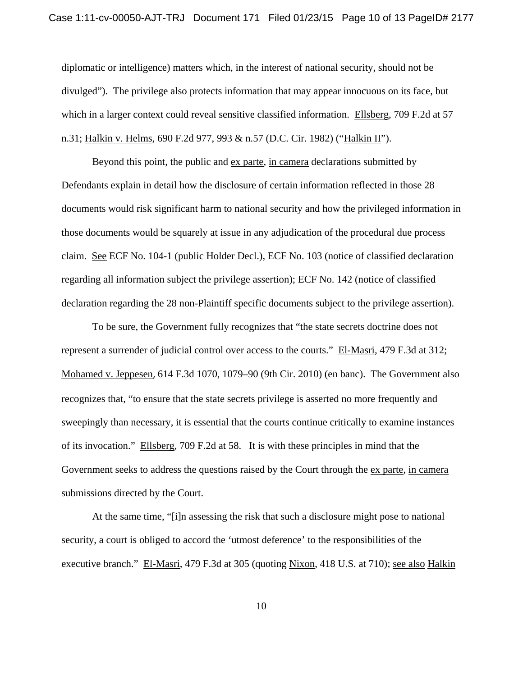#### Case 1:11-cv-00050-AJT-TRJ Document 171 Filed 01/23/15 Page 10 of 13 PageID# 2177

diplomatic or intelligence) matters which, in the interest of national security, should not be divulged"). The privilege also protects information that may appear innocuous on its face, but which in a larger context could reveal sensitive classified information. Ellsberg, 709 F.2d at 57 n.31; Halkin v. Helms, 690 F.2d 977, 993 & n.57 (D.C. Cir. 1982) ("Halkin II").

Beyond this point, the public and ex parte, in camera declarations submitted by Defendants explain in detail how the disclosure of certain information reflected in those 28 documents would risk significant harm to national security and how the privileged information in those documents would be squarely at issue in any adjudication of the procedural due process claim. See ECF No. 104-1 (public Holder Decl.), ECF No. 103 (notice of classified declaration regarding all information subject the privilege assertion); ECF No. 142 (notice of classified declaration regarding the 28 non-Plaintiff specific documents subject to the privilege assertion).

 To be sure, the Government fully recognizes that "the state secrets doctrine does not represent a surrender of judicial control over access to the courts." El-Masri, 479 F.3d at 312; Mohamed v. Jeppesen, 614 F.3d 1070, 1079–90 (9th Cir. 2010) (en banc). The Government also recognizes that, "to ensure that the state secrets privilege is asserted no more frequently and sweepingly than necessary, it is essential that the courts continue critically to examine instances of its invocation." Ellsberg, 709 F.2d at 58. It is with these principles in mind that the Government seeks to address the questions raised by the Court through the ex parte, in camera submissions directed by the Court.

At the same time, "[i]n assessing the risk that such a disclosure might pose to national security, a court is obliged to accord the 'utmost deference' to the responsibilities of the executive branch." El-Masri, 479 F.3d at 305 (quoting Nixon, 418 U.S. at 710); see also Halkin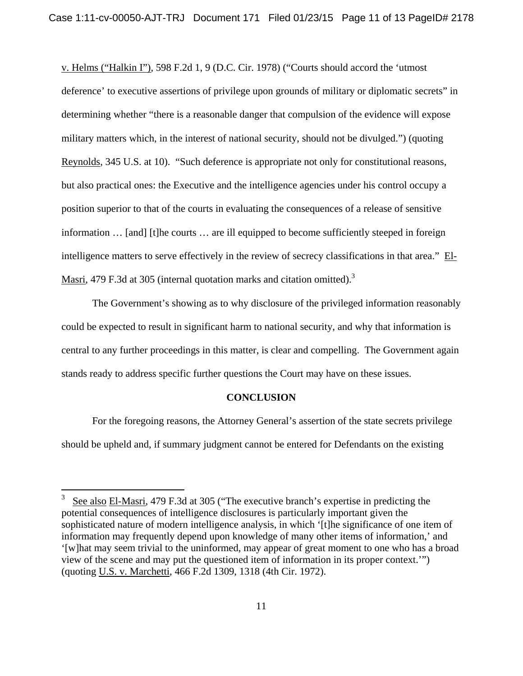v. Helms ("Halkin I"), 598 F.2d 1, 9 (D.C. Cir. 1978) ("Courts should accord the 'utmost deference' to executive assertions of privilege upon grounds of military or diplomatic secrets" in determining whether "there is a reasonable danger that compulsion of the evidence will expose military matters which, in the interest of national security, should not be divulged.") (quoting Reynolds, 345 U.S. at 10). "Such deference is appropriate not only for constitutional reasons, but also practical ones: the Executive and the intelligence agencies under his control occupy a position superior to that of the courts in evaluating the consequences of a release of sensitive information … [and] [t]he courts … are ill equipped to become sufficiently steeped in foreign intelligence matters to serve effectively in the review of secrecy classifications in that area." El-Masri, 479 F.3d at 305 (internal quotation marks and citation omitted).<sup>3</sup>

The Government's showing as to why disclosure of the privileged information reasonably could be expected to result in significant harm to national security, and why that information is central to any further proceedings in this matter, is clear and compelling. The Government again stands ready to address specific further questions the Court may have on these issues.

#### **CONCLUSION**

For the foregoing reasons, the Attorney General's assertion of the state secrets privilege should be upheld and, if summary judgment cannot be entered for Defendants on the existing

 $\frac{1}{3}$  See also El-Masri, 479 F.3d at 305 ("The executive branch's expertise in predicting the potential consequences of intelligence disclosures is particularly important given the sophisticated nature of modern intelligence analysis, in which '[t]he significance of one item of information may frequently depend upon knowledge of many other items of information,' and '[w]hat may seem trivial to the uninformed, may appear of great moment to one who has a broad view of the scene and may put the questioned item of information in its proper context.'") (quoting U.S. v. Marchetti, 466 F.2d 1309, 1318 (4th Cir. 1972).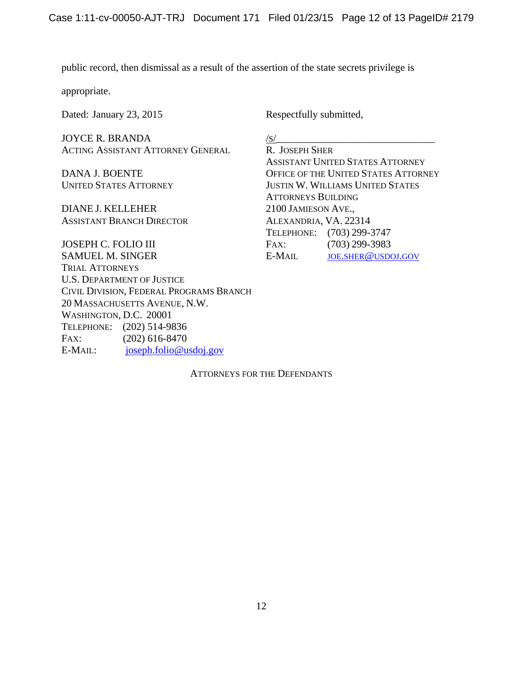$/S/$ 

public record, then dismissal as a result of the assertion of the state secrets privilege is

appropriate.

Dated: January 23, 2015 Respectfully submitted,

JOYCE R. BRANDA ACTING ASSISTANT ATTORNEY GENERAL

DANA J. BOENTE UNITED STATES ATTORNEY

DIANE J. KELLEHER ASSISTANT BRANCH DIRECTOR

JOSEPH C. FOLIO III SAMUEL M. SINGER TRIAL ATTORNEYS U.S. DEPARTMENT OF JUSTICE CIVIL DIVISION, FEDERAL PROGRAMS BRANCH 20 MASSACHUSETTS AVENUE, N.W. WASHINGTON, D.C. 20001 TELEPHONE: (202) 514-9836 FAX: (202) 616-8470 E-MAIL: joseph.folio@usdoj.gov

R. JOSEPH SHER ASSISTANT UNITED STATES ATTORNEY OFFICE OF THE UNITED STATES ATTORNEY JUSTIN W. WILLIAMS UNITED STATES ATTORNEYS BUILDING 2100 JAMIESON AVE., ALEXANDRIA, VA. 22314 TELEPHONE: (703) 299-3747 FAX: (703) 299-3983 E-MAIL JOE.SHER@USDOJ.GOV

ATTORNEYS FOR THE DEFENDANTS